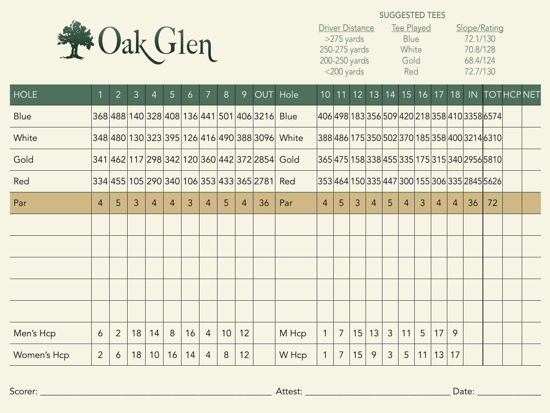

## SUGGESTED TEES

| <b>Driver Distance</b> | Tee Played  | Slope/Rating |
|------------------------|-------------|--------------|
| >275 yards             | <b>Blue</b> | 72.1/130     |
| 250-275 yards          | White       | 70.8/128     |
| 200-250 yards          | Gold        | 68.4/124     |
| $<$ 200 yards          | Red         | 72.7/130     |

| <b>HOLE</b> |                | $\overline{2}$ | $\overline{3}$ | $\overline{4}$ | 5 <sup>5</sup> | 6  | 7              | 8  | 9  |                                          | OUT Hole                                       |                |                |    |                |                |    |    |                |                | 10 11 12 13 14 15 16 17 18 IN                 |    | <b>TOTHCPNET</b> |
|-------------|----------------|----------------|----------------|----------------|----------------|----|----------------|----|----|------------------------------------------|------------------------------------------------|----------------|----------------|----|----------------|----------------|----|----|----------------|----------------|-----------------------------------------------|----|------------------|
| <b>Blue</b> |                |                |                |                |                |    |                |    |    | 368 488 140 328 408 136 441 501 406 3216 | <b>Blue</b>                                    |                |                |    |                |                |    |    |                |                | 406 498 183 356 509 420 218 358 410 3358 6574 |    |                  |
| White       |                |                |                |                |                |    |                |    |    |                                          | 348 480 130 323 395 126 416 490 388 3096 White |                |                |    |                |                |    |    |                |                | 388486 175 350 502 370 185 358 400 3214 6310  |    |                  |
| Gold        |                |                |                |                |                |    |                |    |    |                                          | 341 462 117 298 342 120 360 442 372 2854 Gold  |                |                |    |                |                |    |    |                |                | 36547515833845533517531534029565810           |    |                  |
| Red         |                |                |                |                |                |    |                |    |    | 334 455 105 290 340 106 353 433 365 2781 | Red                                            |                |                |    |                |                |    |    |                |                | 353464 150 335 447 300 155 306 335 2845 5626  |    |                  |
| Par         | $\overline{4}$ | 5              | 3              | $\overline{4}$ | 4              | 3  | 4              | 5  | 4  | 36                                       | Par                                            | $\overline{4}$ | 5              | 3  | $\overline{4}$ | 5              | 4  | 3  | $\overline{4}$ | $\overline{4}$ | 36                                            | 72 |                  |
|             |                |                |                |                |                |    |                |    |    |                                          |                                                |                |                |    |                |                |    |    |                |                |                                               |    |                  |
|             |                |                |                |                |                |    |                |    |    |                                          |                                                |                |                |    |                |                |    |    |                |                |                                               |    |                  |
|             |                |                |                |                |                |    |                |    |    |                                          |                                                |                |                |    |                |                |    |    |                |                |                                               |    |                  |
|             |                |                |                |                |                |    |                |    |    |                                          |                                                |                |                |    |                |                |    |    |                |                |                                               |    |                  |
|             |                |                |                |                |                |    |                |    |    |                                          |                                                |                |                |    |                |                |    |    |                |                |                                               |    |                  |
| Men's Hcp   | 6              | $\overline{2}$ | 18             | 14             | 8              | 16 | $\overline{4}$ | 10 | 12 |                                          | M Hcp                                          | $\mathbf{1}$   | $\overline{7}$ | 15 | 13             | $\mathfrak{Z}$ | 11 | 5  | 17             | 9              |                                               |    |                  |
| Women's Hcp | $\overline{2}$ | 6              | 18             | 10             | 16             | 14 | $\overline{4}$ | 8  | 12 |                                          | W Hcp                                          | $\mathbf{1}$   | 7              | 15 | 9              | 3              | 5  | 11 | 13             | 17             |                                               |    |                  |